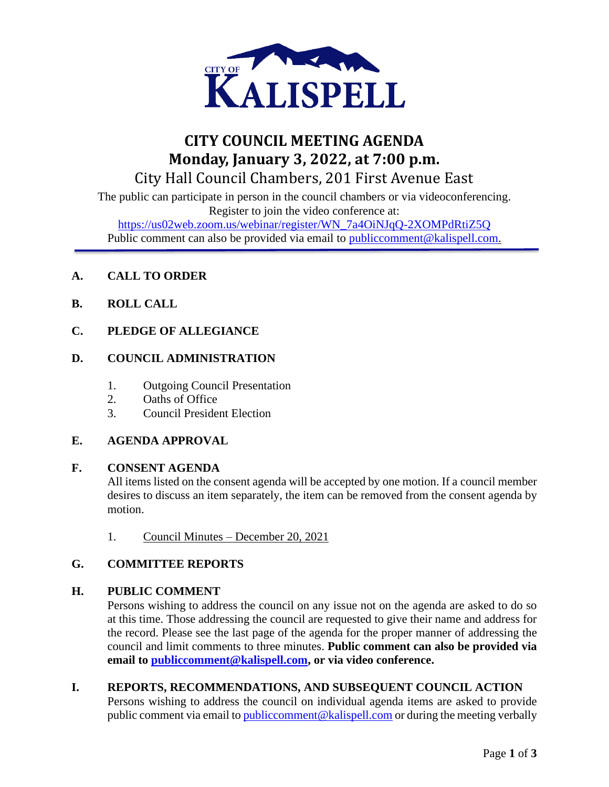

# **CITY COUNCIL MEETING AGENDA Monday, January 3, 2022, at 7:00 p.m.** City Hall Council Chambers, 201 First Avenue East

The public can participate in person in the council chambers or via videoconferencing. Register to join the video conference at:

[https://us02web.zoom.us/webinar/register/WN\\_7a4OiNJqQ-2XOMPdRtiZ5Q](https://us02web.zoom.us/webinar/register/WN_7a4OiNJqQ-2XOMPdRtiZ5Q) Public comment can also be provided via email to public comment@kalispell.com.

# **A. CALL TO ORDER**

- **B. ROLL CALL**
- **C. PLEDGE OF ALLEGIANCE**

## **D. COUNCIL ADMINISTRATION**

- 1. Outgoing Council Presentation
- 2. Oaths of Office
- 3. Council President Election

## **E. AGENDA APPROVAL**

#### **F. CONSENT AGENDA**

All items listed on the consent agenda will be accepted by one motion. If a council member desires to discuss an item separately, the item can be removed from the consent agenda by motion.

1. Council Minutes – December 20, 2021

## **G. COMMITTEE REPORTS**

## **H. PUBLIC COMMENT**

Persons wishing to address the council on any issue not on the agenda are asked to do so at this time. Those addressing the council are requested to give their name and address for the record. Please see the last page of the agenda for the proper manner of addressing the council and limit comments to three minutes. **Public comment can also be provided via email to [publiccomment@kalispell.com,](mailto:publiccomment@kalispell.com) or via video conference.**

## **I. REPORTS, RECOMMENDATIONS, AND SUBSEQUENT COUNCIL ACTION**

Persons wishing to address the council on individual agenda items are asked to provide public comment via email t[o publiccomment@kalispell.com](mailto:publiccomment@kalispell.com) or during the meeting verbally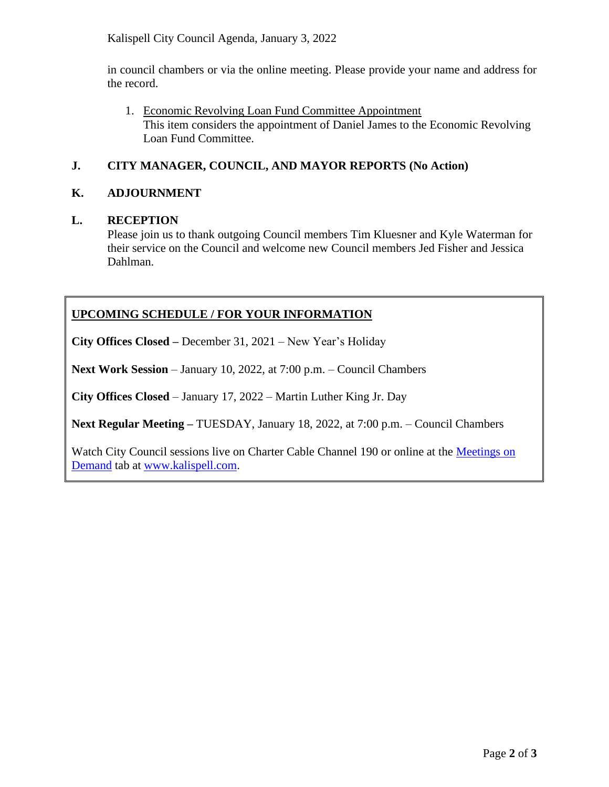Kalispell City Council Agenda, January 3, 2022

in council chambers or via the online meeting. Please provide your name and address for the record.

1. Economic Revolving Loan Fund Committee Appointment This item considers the appointment of Daniel James to the Economic Revolving Loan Fund Committee.

# **J. CITY MANAGER, COUNCIL, AND MAYOR REPORTS (No Action)**

## **K. ADJOURNMENT**

#### **L. RECEPTION**

Please join us to thank outgoing Council members Tim Kluesner and Kyle Waterman for their service on the Council and welcome new Council members Jed Fisher and Jessica Dahlman.

# **UPCOMING SCHEDULE / FOR YOUR INFORMATION**

**City Offices Closed –** December 31, 2021 – New Year's Holiday

**Next Work Session** – January 10, 2022, at 7:00 p.m. – Council Chambers

**City Offices Closed** – January 17, 2022 – Martin Luther King Jr. Day

**Next Regular Meeting –** TUESDAY, January 18, 2022, at 7:00 p.m. – Council Chambers

Watch City Council sessions live on Charter Cable Channel 190 or online at the [Meetings on](http://www.kalispell.com/mayor_and_city_council/meetings.php)  [Demand](http://www.kalispell.com/mayor_and_city_council/meetings.php) tab at [www.kalispell.com.](http://www.kalispell.com/)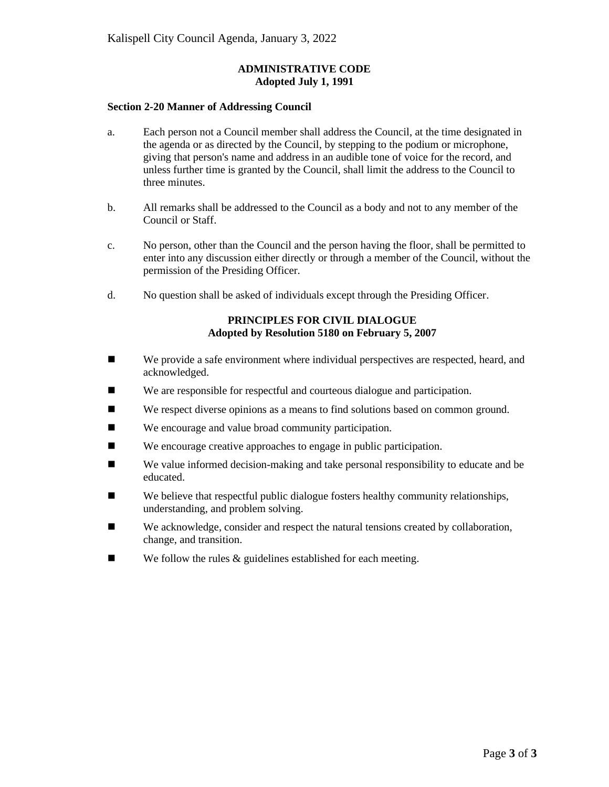#### **ADMINISTRATIVE CODE Adopted July 1, 1991**

#### **Section 2-20 Manner of Addressing Council**

- a. Each person not a Council member shall address the Council, at the time designated in the agenda or as directed by the Council, by stepping to the podium or microphone, giving that person's name and address in an audible tone of voice for the record, and unless further time is granted by the Council, shall limit the address to the Council to three minutes.
- b. All remarks shall be addressed to the Council as a body and not to any member of the Council or Staff.
- c. No person, other than the Council and the person having the floor, shall be permitted to enter into any discussion either directly or through a member of the Council, without the permission of the Presiding Officer.
- d. No question shall be asked of individuals except through the Presiding Officer.

#### **PRINCIPLES FOR CIVIL DIALOGUE Adopted by Resolution 5180 on February 5, 2007**

- We provide a safe environment where individual perspectives are respected, heard, and acknowledged.
- We are responsible for respectful and courteous dialogue and participation.
- We respect diverse opinions as a means to find solutions based on common ground.
- We encourage and value broad community participation.
- We encourage creative approaches to engage in public participation.
- We value informed decision-making and take personal responsibility to educate and be educated.
- $\blacksquare$  We believe that respectful public dialogue fosters healthy community relationships, understanding, and problem solving.
- We acknowledge, consider and respect the natural tensions created by collaboration, change, and transition.
- $\blacksquare$  We follow the rules & guidelines established for each meeting.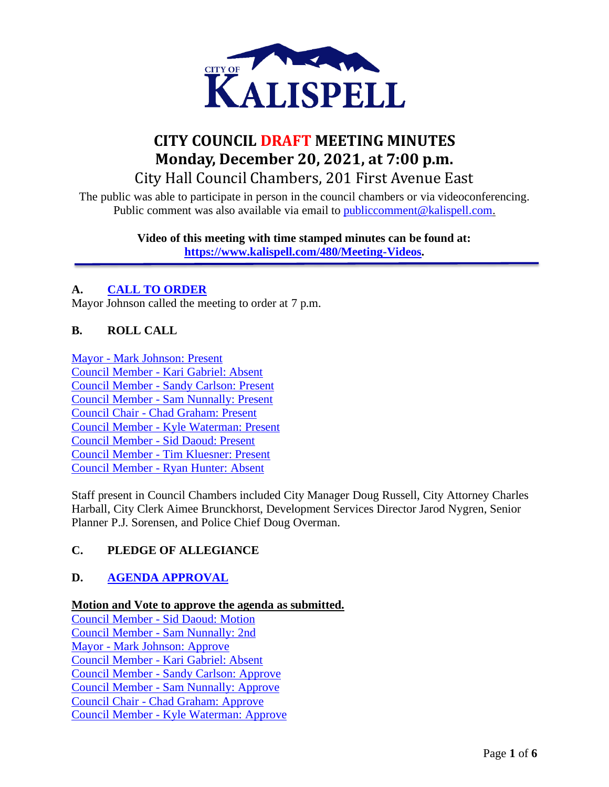

# **CITY COUNCIL DRAFT MEETING MINUTES Monday, December 20, 2021, at 7:00 p.m.** City Hall Council Chambers, 201 First Avenue East

The public was able to participate in person in the council chambers or via videoconferencing. Public comment was also available via email to **publiccomment@kalispell.com.** 

> **Video of this meeting with time stamped minutes can be found at: [https://www.kalispell.com/480/Meeting-Videos.](https://www.kalispell.com/480/Meeting-Videos)**

# **A. [CALL TO ORDER](avca:adecaded-7be1-40ff-98f1-71bc64f901f6@00:01:49)**

Mayor Johnson called the meeting to order at 7 p.m.

## **B. ROLL CALL**

Mayor - [Mark Johnson: Present](avca:adecaded-7be1-40ff-98f1-71bc64f901f6@00:01:54) Council Member - [Kari Gabriel: Absent](avca:adecaded-7be1-40ff-98f1-71bc64f901f6@00:01:54) Council Member - [Sandy Carlson: Present](avca:adecaded-7be1-40ff-98f1-71bc64f901f6@00:01:54) Council Member - [Sam Nunnally: Present](avca:adecaded-7be1-40ff-98f1-71bc64f901f6@00:01:54) Council Chair - [Chad Graham: Present](avca:adecaded-7be1-40ff-98f1-71bc64f901f6@00:01:54) Council Member - [Kyle Waterman: Present](avca:adecaded-7be1-40ff-98f1-71bc64f901f6@00:01:54) Council Member - [Sid Daoud: Present](avca:adecaded-7be1-40ff-98f1-71bc64f901f6@00:01:54) Council Member - [Tim Kluesner: Present](avca:adecaded-7be1-40ff-98f1-71bc64f901f6@00:01:54) Council Member - [Ryan Hunter: Absent](avca:adecaded-7be1-40ff-98f1-71bc64f901f6@00:01:54)

Staff present in Council Chambers included City Manager Doug Russell, City Attorney Charles Harball, City Clerk Aimee Brunckhorst, Development Services Director Jarod Nygren, Senior Planner P.J. Sorensen, and Police Chief Doug Overman.

## **C. PLEDGE OF ALLEGIANCE**

# **D. [AGENDA APPROVAL](avca:adecaded-7be1-40ff-98f1-71bc64f901f6@00:02:53)**

**Motion and Vote to approve the agenda as submitted.**

Council Member - [Sid Daoud: Motion](avca:adecaded-7be1-40ff-98f1-71bc64f901f6@00:03:09) Council Member - [Sam Nunnally: 2nd](avca:adecaded-7be1-40ff-98f1-71bc64f901f6@00:03:09) Mayor - [Mark Johnson: Approve](avca:adecaded-7be1-40ff-98f1-71bc64f901f6@00:03:09) Council Member - [Kari Gabriel: Absent](avca:adecaded-7be1-40ff-98f1-71bc64f901f6@00:03:09) Council Member - [Sandy Carlson: Approve](avca:adecaded-7be1-40ff-98f1-71bc64f901f6@00:03:09) Council Member - [Sam Nunnally: Approve](avca:adecaded-7be1-40ff-98f1-71bc64f901f6@00:03:09) Council Chair - [Chad Graham: Approve](avca:adecaded-7be1-40ff-98f1-71bc64f901f6@00:03:09) Council Member - [Kyle Waterman: Approve](avca:adecaded-7be1-40ff-98f1-71bc64f901f6@00:03:09)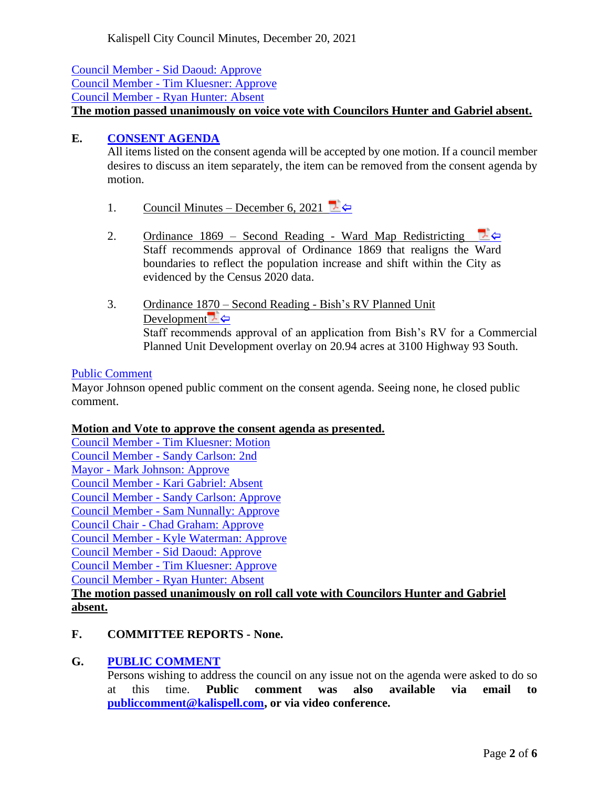Council Member - [Sid Daoud: Approve](avca:adecaded-7be1-40ff-98f1-71bc64f901f6@00:03:09) Council Member - [Tim Kluesner: Approve](avca:adecaded-7be1-40ff-98f1-71bc64f901f6@00:03:09) Council Member - [Ryan Hunter: Absent](avca:adecaded-7be1-40ff-98f1-71bc64f901f6@00:03:09) **The motion passed unanimously on voice vote with Councilors Hunter and Gabriel absent.**

## **E. [CONSENT AGENDA](avca:adecaded-7be1-40ff-98f1-71bc64f901f6@00:03:14)**

All items listed on the consent agenda will be accepted by one motion. If a council member desires to discuss an item separately, the item can be removed from the consent agenda by motion.

- 1. Council Minutes December 6, 2021
- 2. Ordinance 1869 Second Reading Ward Map Redistricting Staff recommends approval of Ordinance 1869 that realigns the Ward boundaries to reflect the population increase and shift within the City as evidenced by the Census 2020 data.
- 3. Ordinance 1870 Second Reading Bish's RV Planned Unit Developmen[t](file:///C:/AVCA%20Backup/2021-12-20/City%20Council%20Meeting_2021-12-20_07-00-13%20PM/E3.%20Bish)  $\overline{L}$ Staff recommends approval of an application from Bish's RV for a Commercial Planned Unit Development overlay on 20.94 acres at 3100 Highway 93 South.

#### [Public Comment](avca:adecaded-7be1-40ff-98f1-71bc64f901f6@00:04:00)

Mayor Johnson opened public comment on the consent agenda. Seeing none, he closed public comment.

## **Motion and Vote to approve the consent agenda as presented.**

Council Member - [Tim Kluesner: Motion](avca:adecaded-7be1-40ff-98f1-71bc64f901f6@00:04:40) Council Member - [Sandy Carlson: 2nd](avca:adecaded-7be1-40ff-98f1-71bc64f901f6@00:04:40) Mayor - [Mark Johnson: Approve](avca:adecaded-7be1-40ff-98f1-71bc64f901f6@00:04:40) Council Member - [Kari Gabriel: Absent](avca:adecaded-7be1-40ff-98f1-71bc64f901f6@00:04:40) Council Member - [Sandy Carlson: Approve](avca:adecaded-7be1-40ff-98f1-71bc64f901f6@00:04:40) Council Member - [Sam Nunnally: Approve](avca:adecaded-7be1-40ff-98f1-71bc64f901f6@00:04:40) Council Chair - [Chad Graham: Approve](avca:adecaded-7be1-40ff-98f1-71bc64f901f6@00:04:40) Council Member - [Kyle Waterman: Approve](avca:adecaded-7be1-40ff-98f1-71bc64f901f6@00:04:40) Council Member - [Sid Daoud: Approve](avca:adecaded-7be1-40ff-98f1-71bc64f901f6@00:04:40) Council Member - [Tim Kluesner: Approve](avca:adecaded-7be1-40ff-98f1-71bc64f901f6@00:04:40) Council Member - [Ryan Hunter: Absent](avca:adecaded-7be1-40ff-98f1-71bc64f901f6@00:04:40) **The motion passed unanimously on roll call vote with Councilors Hunter and Gabriel** 

# **absent.**

# **F. COMMITTEE REPORTS - None.**

## **G. [PUBLIC COMMENT](avca:adecaded-7be1-40ff-98f1-71bc64f901f6@00:04:46)**

Persons wishing to address the council on any issue not on the agenda were asked to do so at this time. **Public comment was also available via email to [publiccomment@kalispell.com,](mailto:publiccomment@kalispell.com) or via video conference.**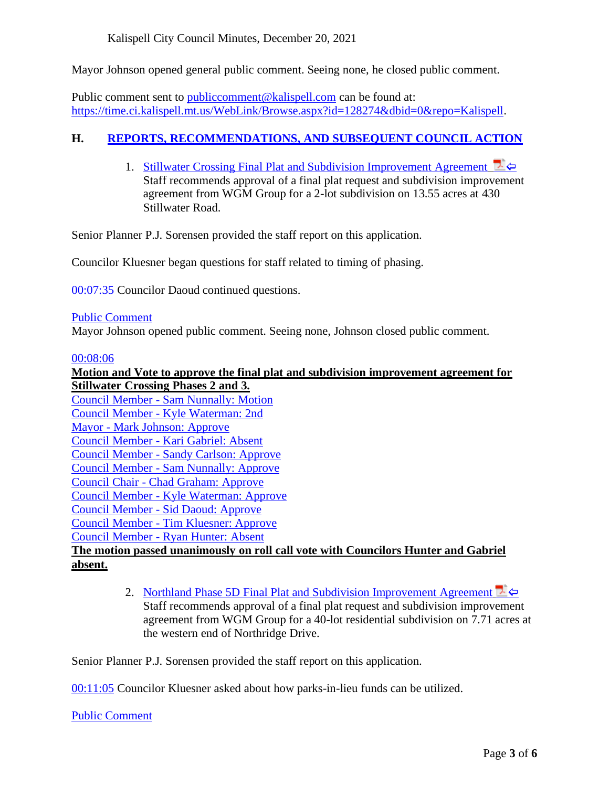Kalispell City Council Minutes, December 20, 2021

Mayor Johnson opened general public comment. Seeing none, he closed public comment.

Public comment sent to public comment@kalispell.com can be found at: [https://time.ci.kalispell.mt.us/WebLink/Browse.aspx?id=128274&dbid=0&repo=Kalispell.](https://time.ci.kalispell.mt.us/WebLink/Browse.aspx?id=128274&dbid=0&repo=Kalispell)

# **H. REPORTS, RECOMMENDATIONS, [AND SUBSEQUENT COUNCIL ACTION](avca:adecaded-7be1-40ff-98f1-71bc64f901f6@00:05:05)**

1. Stillwater Crossing Final Plat and Subdivision Improvement Agreement Staff recommends approval of a final plat request and subdivision improvement agreement from WGM Group for a 2-lot subdivision on 13.55 acres at 430 Stillwater Road.

Senior Planner P.J. Sorensen provided the staff report on this application.

Councilor Kluesner began questions for staff related to timing of phasing.

[00:07:35](avca:adecaded-7be1-40ff-98f1-71bc64f901f6@00:07:35) Councilor Daoud continued questions.

#### [Public Comment](avca:adecaded-7be1-40ff-98f1-71bc64f901f6@00:07:58)

Mayor Johnson opened public comment. Seeing none, Johnson closed public comment.

#### [00:08:06](avca:adecaded-7be1-40ff-98f1-71bc64f901f6@00:08:06)

## **Motion and Vote to approve the final plat and subdivision improvement agreement for Stillwater Crossing Phases 2 and 3.** Council Member - [Sam Nunnally: Motion](avca:adecaded-7be1-40ff-98f1-71bc64f901f6@00:08:42) Council Member - [Kyle Waterman: 2nd](avca:adecaded-7be1-40ff-98f1-71bc64f901f6@00:08:42) Mayor - [Mark Johnson: Approve](avca:adecaded-7be1-40ff-98f1-71bc64f901f6@00:08:42) Council Member - [Kari Gabriel: Absent](avca:adecaded-7be1-40ff-98f1-71bc64f901f6@00:08:42) Council Member - [Sandy Carlson: Approve](avca:adecaded-7be1-40ff-98f1-71bc64f901f6@00:08:42) Council Member - [Sam Nunnally: Approve](avca:adecaded-7be1-40ff-98f1-71bc64f901f6@00:08:42) Council Chair - [Chad Graham: Approve](avca:adecaded-7be1-40ff-98f1-71bc64f901f6@00:08:42) Council Member - [Kyle Waterman: Approve](avca:adecaded-7be1-40ff-98f1-71bc64f901f6@00:08:42) Council Member - [Sid Daoud: Approve](avca:adecaded-7be1-40ff-98f1-71bc64f901f6@00:08:42) Council Member - [Tim Kluesner: Approve](avca:adecaded-7be1-40ff-98f1-71bc64f901f6@00:08:42) Council Member - [Ryan Hunter: Absent](avca:adecaded-7be1-40ff-98f1-71bc64f901f6@00:08:42) **The motion passed unanimously on roll call vote with Councilors Hunter and Gabriel absent.**

2. Northland Phase 5D Final Plat [and Subdivision Improvement Agreement](avca:adecaded-7be1-40ff-98f1-71bc64f901f6@00:08:51)  $\blacktriangleright$ Staff recommends approval of a final plat request and subdivision improvement agreement from WGM Group for a 40-lot residential subdivision on 7.71 acres at the western end of Northridge Drive.

Senior Planner P.J. Sorensen provided the staff report on this application.

[00:11:05](avca:adecaded-7be1-40ff-98f1-71bc64f901f6@00:11:05) Councilor Kluesner asked about how parks-in-lieu funds can be utilized.

[Public Comment](avca:adecaded-7be1-40ff-98f1-71bc64f901f6@00:11:57)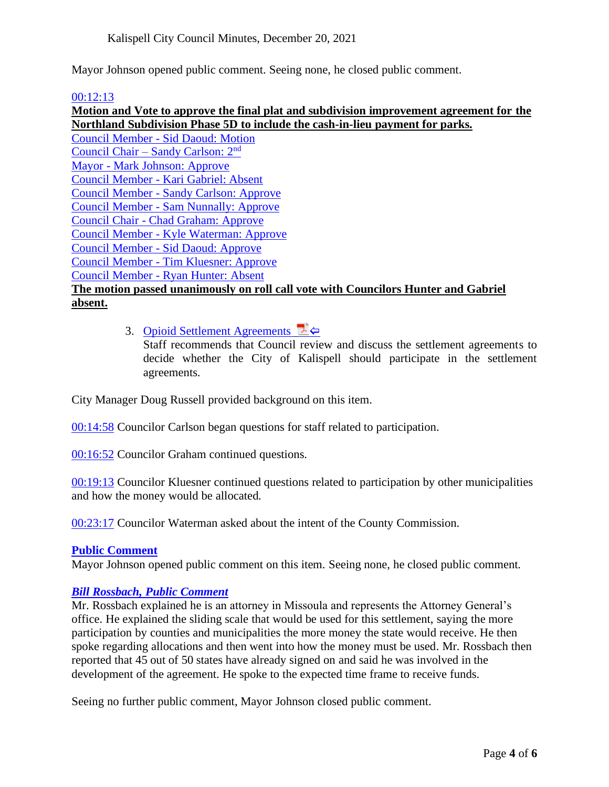Mayor Johnson opened public comment. Seeing none, he closed public comment.

#### [00:12:13](avca:adecaded-7be1-40ff-98f1-71bc64f901f6@00:12:13)

**Motion and Vote to approve the final plat and subdivision improvement agreement for the Northland Subdivision Phase 5D to include the cash-in-lieu payment for parks.** Council Member - [Sid Daoud: Motion](avca:adecaded-7be1-40ff-98f1-71bc64f901f6@00:13:11) Council Chair – [Sandy Carlson: 2](avca:adecaded-7be1-40ff-98f1-71bc64f901f6@00:13:11)<sup>nd</sup> Mayor - [Mark Johnson: Approve](avca:adecaded-7be1-40ff-98f1-71bc64f901f6@00:13:11) Council Member - [Kari Gabriel: Absent](avca:adecaded-7be1-40ff-98f1-71bc64f901f6@00:13:11) Council Member - [Sandy Carlson: Approve](avca:adecaded-7be1-40ff-98f1-71bc64f901f6@00:13:11) Council Member - [Sam Nunnally: Approve](avca:adecaded-7be1-40ff-98f1-71bc64f901f6@00:13:11) Council Chair - [Chad Graham: Approve](avca:adecaded-7be1-40ff-98f1-71bc64f901f6@00:13:11) Council Member - [Kyle Waterman: Approve](avca:adecaded-7be1-40ff-98f1-71bc64f901f6@00:13:11) Council Member - [Sid Daoud: Approve](avca:adecaded-7be1-40ff-98f1-71bc64f901f6@00:13:11) Council Member - [Tim Kluesner: Approve](avca:adecaded-7be1-40ff-98f1-71bc64f901f6@00:13:11) Council Member - [Ryan Hunter: Absent](avca:adecaded-7be1-40ff-98f1-71bc64f901f6@00:13:11) **The motion passed unanimously on roll call vote with Councilors Hunter and Gabriel absent.**

3. [Opioid Settlement Agreements](avca:adecaded-7be1-40ff-98f1-71bc64f901f6@00:13:23)

Staff recommends that Council review and discuss the settlement agreements to decide whether the City of Kalispell should participate in the settlement agreements.

City Manager Doug Russell provided background on this item.

[00:14:58](avca:adecaded-7be1-40ff-98f1-71bc64f901f6@00:14:58) Councilor Carlson began questions for staff related to participation.

[00:16:52](avca:adecaded-7be1-40ff-98f1-71bc64f901f6@00:16:52) Councilor Graham continued questions.

[00:19:13](avca:adecaded-7be1-40ff-98f1-71bc64f901f6@00:19:13) Councilor Kluesner continued questions related to participation by other municipalities and how the money would be allocated.

[00:23:17](avca:adecaded-7be1-40ff-98f1-71bc64f901f6@00:23:17) Councilor Waterman asked about the intent of the County Commission.

#### **[Public Comment](avca:adecaded-7be1-40ff-98f1-71bc64f901f6@00:23:58)**

Mayor Johnson opened public comment on this item. Seeing none, he closed public comment.

#### *[Bill Rossbach, Public Comment](avca:adecaded-7be1-40ff-98f1-71bc64f901f6@00:24:06)*

Mr. Rossbach explained he is an attorney in Missoula and represents the Attorney General's office. He explained the sliding scale that would be used for this settlement, saying the more participation by counties and municipalities the more money the state would receive. He then spoke regarding allocations and then went into how the money must be used. Mr. Rossbach then reported that 45 out of 50 states have already signed on and said he was involved in the development of the agreement. He spoke to the expected time frame to receive funds.

Seeing no further public comment, Mayor Johnson closed public comment.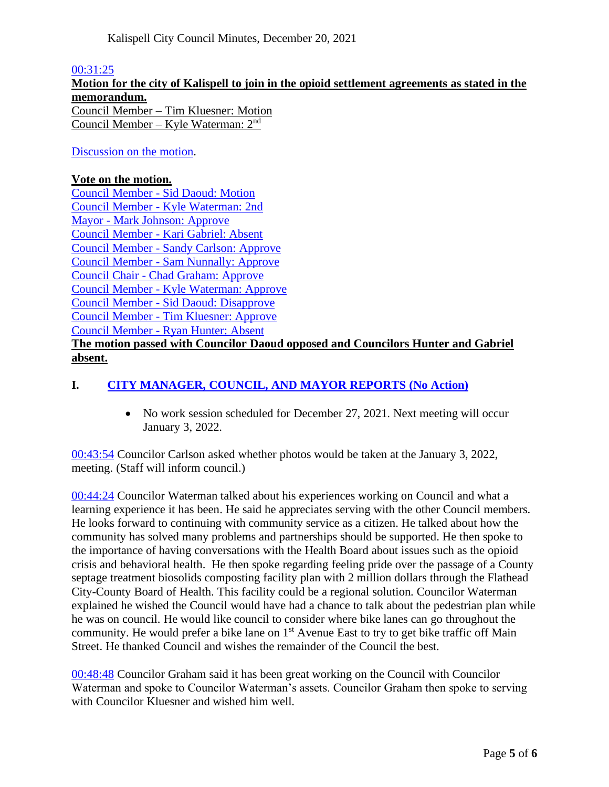#### [00:31:25](avca:adecaded-7be1-40ff-98f1-71bc64f901f6@00:31:25)

**Motion for the city of Kalispell to join in the opioid settlement agreements as stated in the memorandum.**  Council Member – Tim Kluesner: Motion Council Member – Kyle Waterman: 2nd

#### [Discussion on the motion.](avca:adecaded-7be1-40ff-98f1-71bc64f901f6@00:31:47)

#### **Vote on the motion.**

Council Member - [Sid Daoud: Motion](avca:adecaded-7be1-40ff-98f1-71bc64f901f6@00:43:12) Council Member - [Kyle Waterman: 2nd](avca:adecaded-7be1-40ff-98f1-71bc64f901f6@00:43:12) Mayor - [Mark Johnson: Approve](avca:adecaded-7be1-40ff-98f1-71bc64f901f6@00:43:12) Council Member - [Kari Gabriel: Absent](avca:adecaded-7be1-40ff-98f1-71bc64f901f6@00:43:12) Council Member - [Sandy Carlson: Approve](avca:adecaded-7be1-40ff-98f1-71bc64f901f6@00:43:12) Council Member - [Sam Nunnally: Approve](avca:adecaded-7be1-40ff-98f1-71bc64f901f6@00:43:12) Council Chair - [Chad Graham: Approve](avca:adecaded-7be1-40ff-98f1-71bc64f901f6@00:43:12) Council Member - [Kyle Waterman: Approve](avca:adecaded-7be1-40ff-98f1-71bc64f901f6@00:43:12) Council Member - [Sid Daoud: Disapprove](avca:adecaded-7be1-40ff-98f1-71bc64f901f6@00:43:12) Council Member - [Tim Kluesner: Approve](avca:adecaded-7be1-40ff-98f1-71bc64f901f6@00:43:12) Council Member - [Ryan Hunter: Absent](avca:adecaded-7be1-40ff-98f1-71bc64f901f6@00:43:12)

## **The motion passed with Councilor Daoud opposed and Councilors Hunter and Gabriel absent.**

## **I. [CITY MANAGER, COUNCIL, AND MAYOR REPORTS](avca:adecaded-7be1-40ff-98f1-71bc64f901f6@00:43:18) (No Action)**

• No work session scheduled for December 27, 2021. Next meeting will occur January 3, 2022.

[00:43:54](avca:adecaded-7be1-40ff-98f1-71bc64f901f6@00:43:54) Councilor Carlson asked whether photos would be taken at the January 3, 2022, meeting. (Staff will inform council.)

[00:44:24](avca:adecaded-7be1-40ff-98f1-71bc64f901f6@00:44:24) Councilor Waterman talked about his experiences working on Council and what a learning experience it has been. He said he appreciates serving with the other Council members. He looks forward to continuing with community service as a citizen. He talked about how the community has solved many problems and partnerships should be supported. He then spoke to the importance of having conversations with the Health Board about issues such as the opioid crisis and behavioral health. He then spoke regarding feeling pride over the passage of a County septage treatment biosolids composting facility plan with 2 million dollars through the Flathead City-County Board of Health. This facility could be a regional solution. Councilor Waterman explained he wished the Council would have had a chance to talk about the pedestrian plan while he was on council. He would like council to consider where bike lanes can go throughout the community. He would prefer a bike lane on  $1<sup>st</sup>$  Avenue East to try to get bike traffic off Main Street. He thanked Council and wishes the remainder of the Council the best.

[00:48:48](avca:adecaded-7be1-40ff-98f1-71bc64f901f6@00:48:48) Councilor Graham said it has been great working on the Council with Councilor Waterman and spoke to Councilor Waterman's assets. Councilor Graham then spoke to serving with Councilor Kluesner and wished him well.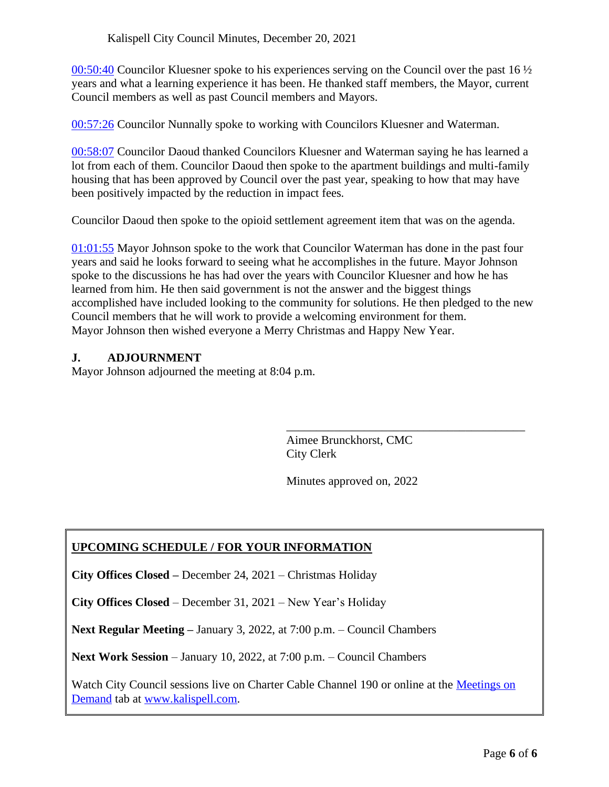[00:50:40](avca:adecaded-7be1-40ff-98f1-71bc64f901f6@00:50:40) Councilor Kluesner spoke to his experiences serving on the Council over the past 16  $\frac{1}{2}$ years and what a learning experience it has been. He thanked staff members, the Mayor, current Council members as well as past Council members and Mayors.

[00:57:26](avca:adecaded-7be1-40ff-98f1-71bc64f901f6@00:57:26) Councilor Nunnally spoke to working with Councilors Kluesner and Waterman.

[00:58:07](avca:adecaded-7be1-40ff-98f1-71bc64f901f6@00:58:07) Councilor Daoud thanked Councilors Kluesner and Waterman saying he has learned a lot from each of them. Councilor Daoud then spoke to the apartment buildings and multi-family housing that has been approved by Council over the past year, speaking to how that may have been positively impacted by the reduction in impact fees.

Councilor Daoud then spoke to the opioid settlement agreement item that was on the agenda.

[01:01:55](avca:adecaded-7be1-40ff-98f1-71bc64f901f6@01:01:55) Mayor Johnson spoke to the work that Councilor Waterman has done in the past four years and said he looks forward to seeing what he accomplishes in the future. Mayor Johnson spoke to the discussions he has had over the years with Councilor Kluesner and how he has learned from him. He then said government is not the answer and the biggest things accomplished have included looking to the community for solutions. He then pledged to the new Council members that he will work to provide a welcoming environment for them. Mayor Johnson then wished everyone a Merry Christmas and Happy New Year.

## **J. ADJOURNMENT**

Mayor Johnson adjourned the meeting at 8:04 p.m.

Aimee Brunckhorst, CMC City Clerk

\_\_\_\_\_\_\_\_\_\_\_\_\_\_\_\_\_\_\_\_\_\_\_\_\_\_\_\_\_\_\_\_\_\_\_\_\_\_\_\_

Minutes approved on, 2022

# **UPCOMING SCHEDULE / FOR YOUR INFORMATION**

**City Offices Closed –** December 24, 2021 – Christmas Holiday

**City Offices Closed** – December 31, 2021 – New Year's Holiday

**Next Regular Meeting –** January 3, 2022, at 7:00 p.m. – Council Chambers

**Next Work Session** – January 10, 2022, at 7:00 p.m. – Council Chambers

Watch City Council sessions live on Charter Cable Channel 190 or online at the [Meetings on](http://www.kalispell.com/mayor_and_city_council/meetings.php)  [Demand](http://www.kalispell.com/mayor_and_city_council/meetings.php) tab at [www.kalispell.com.](http://www.kalispell.com/)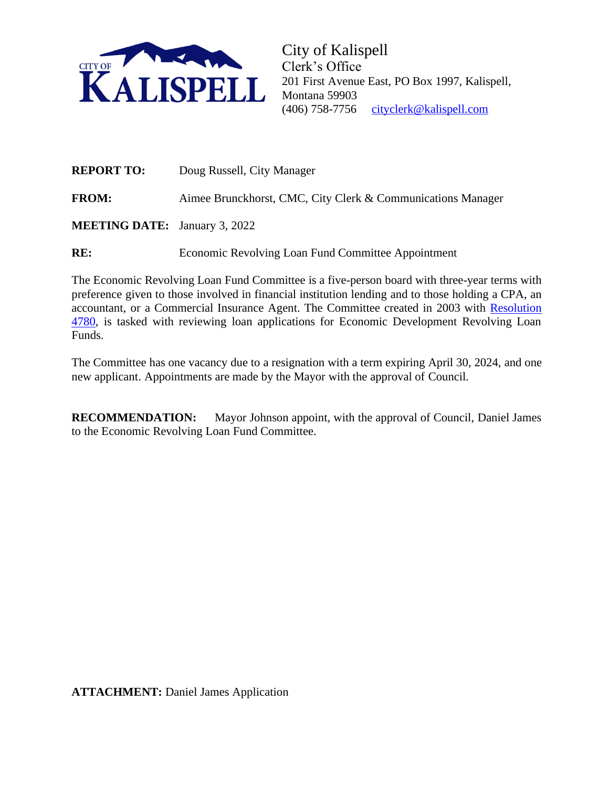

City of Kalispell Clerk's Office 201 First Avenue East, PO Box 1997, Kalispell, Montana 59903 (406) 758-7756 [cityclerk@kalispell.com](mailto:cityclerk@kalispell.com) 

| <b>REPORT TO:</b>                    | Doug Russell, City Manager                                  |
|--------------------------------------|-------------------------------------------------------------|
| <b>FROM:</b>                         | Aimee Brunckhorst, CMC, City Clerk & Communications Manager |
| <b>MEETING DATE:</b> January 3, 2022 |                                                             |

RE: Economic Revolving Loan Fund Committee Appointment

The Economic Revolving Loan Fund Committee is a five-person board with three-year terms with preference given to those involved in financial institution lending and to those holding a CPA, an accountant, or a Commercial Insurance Agent. The Committee created in 2003 with [Resolution](https://time.ci.kalispell.mt.us/WebLink/DocView.aspx?dbid=0&id=1737&page=1&cr=1) [4780,](https://time.ci.kalispell.mt.us/WebLink/DocView.aspx?dbid=0&id=1737&page=1&cr=1) is tasked with reviewing loan applications for Economic Development Revolving Loan Funds.

The Committee has one vacancy due to a resignation with a term expiring April 30, 2024, and one new applicant. Appointments are made by the Mayor with the approval of Council.

**RECOMMENDATION:** Mayor Johnson appoint, with the approval of Council, Daniel James to the Economic Revolving Loan Fund Committee.